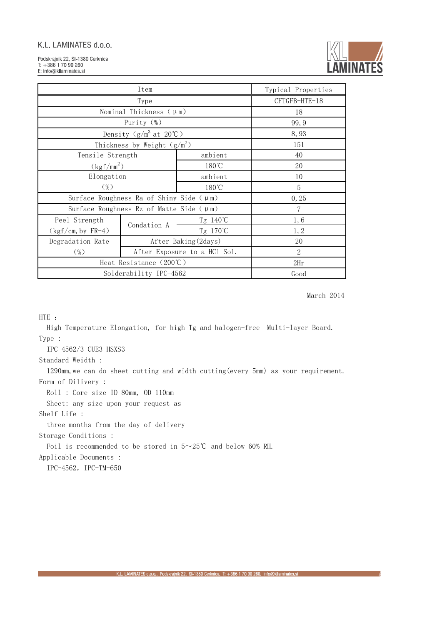Podskrajnik 22, SI-1380 Cerknica  $T: +38617090260$ E: info@kllaminates.si



| Item                                                |             |                              | Typical Properties |
|-----------------------------------------------------|-------------|------------------------------|--------------------|
| Type                                                |             | CFTGFB-HTE-18                |                    |
| Nominal Thickness $(\mu \text{m})$                  |             |                              | 18                 |
| Purity (%)                                          |             |                              | 99, 9              |
| Density $(g/m^3$ at $20^{\circ}\text{C}$ )          |             | 8,93                         |                    |
| Thickness by Weight $(g/m^2)$                       |             |                              | 151                |
| Tensile Strength                                    |             | ambient                      | 40                 |
| $(kgf/mm^2)$                                        |             | $180^{\circ}$ C              | 20                 |
| Elongation                                          |             | ambient                      | 10                 |
| $(\% )$                                             |             | 180°C                        | 5                  |
| Surface Roughness Ra of Shiny Side $(\mu \text{m})$ |             |                              | 0, 25              |
| Surface Roughness Rz of Matte Side $(\mu m)$        |             |                              | 7                  |
| Peel Strength                                       | Condation A | Tg 140℃                      | 1,6                |
| $(kgf/cm, by FR-4)$                                 |             | Tg 170℃                      | 1, 2               |
| Degradation Rate                                    |             | After Baking (2days)         | 20                 |
| $(\% )$                                             |             | After Exposure to a HCl Sol. | $\overline{2}$     |
| Heat Resistance (200°C)                             |             |                              | 2Hr                |
| Solderability IPC-4562                              |             | Good                         |                    |

March 2014

HTE :

 High Temperature Elongation, for high Tg and halogen-free Multi-layer Board. Type :

IPC-4562/3 CUE3-HSXS3

#### Standard Weidth :

 1290mm,we can do sheet cutting and width cutting(every 5mm) as your requirement. Form of Dilivery :

Roll : Core size ID 80mm, OD 110mm

Sheet: any size upon your request as

Shelf Life :

three months from the day of delivery

Storage Conditions :

Foil is recommended to be stored in  $5 \sim 25^{\circ}$ C and below 60% RH.

Applicable Documents :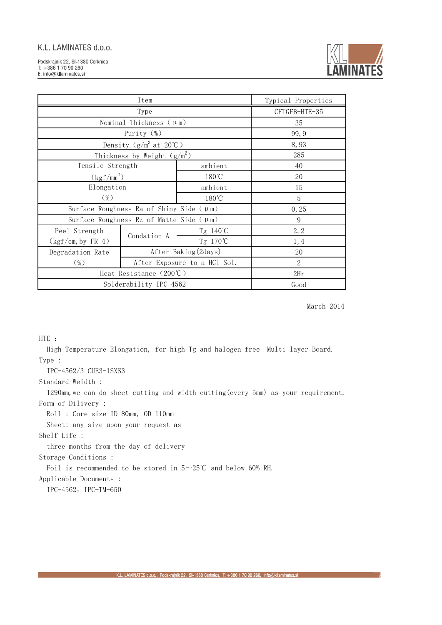

| Item                                                |                              |                      | Typical Properties |
|-----------------------------------------------------|------------------------------|----------------------|--------------------|
| Type                                                |                              | CFTGFB-HTE-35        |                    |
| Nominal Thickness $(\mu \text{m})$                  |                              |                      | 35                 |
| Purity (%)                                          |                              |                      | 99, 9              |
| Density $(g/m^3$ at $20^{\circ}\text{C}$ )          |                              |                      | 8,93               |
| Thickness by Weight $(g/m^2)$                       |                              |                      | 285                |
| Tensile Strength                                    |                              | ambient              | 40                 |
| $(kgf/mm^2)$                                        |                              | $180^{\circ}$ C      | 20                 |
| Elongation                                          |                              | ambient              | 15                 |
| $(\% )$<br>180°C                                    |                              | 5                    |                    |
| Surface Roughness Ra of Shiny Side $(\mu \text{m})$ |                              |                      | 0, 25              |
| Surface Roughness Rz of Matte Side $(\mu m)$        |                              |                      | 9                  |
| Peel Strength                                       | Condation A                  | Tg 140℃              | 2, 2               |
| $(kgf/cm, by FR-4)$                                 |                              | Tg 170℃              | 1, 4               |
| Degradation Rate                                    |                              | After Baking (2days) | 20                 |
| $(\% )$                                             | After Exposure to a HCl Sol. |                      | 2                  |
| Heat Resistance (200°C)                             |                              |                      | 2Hr                |
| Solderability IPC-4562                              |                              | Good                 |                    |

March 2014

HTE :

 High Temperature Elongation, for high Tg and halogen-free Multi-layer Board. Type :

IPC-4562/3 CUE3-1SXS3

Standard Weidth :

 1290mm,we can do sheet cutting and width cutting(every 5mm) as your requirement. Form of Dilivery :

Roll : Core size ID 80mm, OD 110mm

Sheet: any size upon your request as

Shelf Life :

three months from the day of delivery

Storage Conditions :

Foil is recommended to be stored in 5~25℃ and below 60% RH.

Applicable Documents :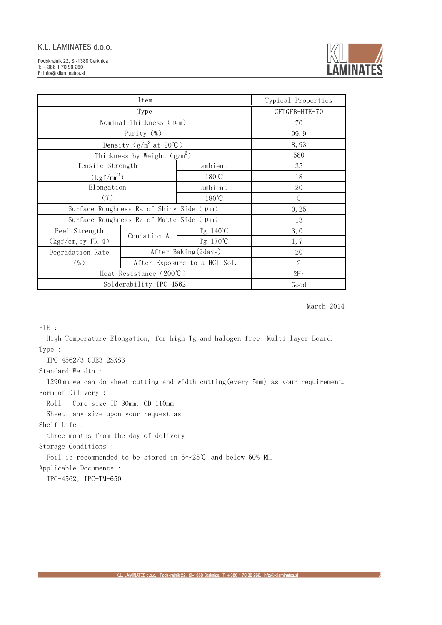

| Item                                                |             |                              | Typical Properties |
|-----------------------------------------------------|-------------|------------------------------|--------------------|
| Type                                                |             | CFTGFB-HTE-70                |                    |
| Nominal Thickness $(\mu \text{m})$                  |             |                              | 70                 |
| Purity (%)                                          |             |                              | 99, 9              |
| Density $(g/m^3$ at $20^{\circ}$ C)                 |             | 8,93                         |                    |
| Thickness by Weight $(g/m^2)$                       |             |                              | 580                |
| Tensile Strength                                    |             | ambient                      | 35                 |
| $(kgf/mm^2)$                                        |             | $180^{\circ}$ C              | 18                 |
| Elongation                                          |             | ambient                      | 20                 |
| $(\% )$<br>180°C                                    |             |                              | 5                  |
| Surface Roughness Ra of Shiny Side $(\mu \text{m})$ |             |                              | 0, 25              |
| Surface Roughness Rz of Matte Side $(\mu m)$        |             |                              | 13                 |
| Peel Strength                                       | Condation A | Tg 140℃                      | 3,0                |
| $(kgf/cm, by FR-4)$                                 |             | Tg 170℃                      | 1,7                |
| Degradation Rate                                    |             | After Baking (2days)         | 20                 |
| $(\% )$                                             |             | After Exposure to a HCl Sol. | $\overline{2}$     |
| Heat Resistance (200°C)                             |             |                              | 2Hr                |
| Solderability IPC-4562                              |             | Good                         |                    |

March 2014

HTE :

 High Temperature Elongation, for high Tg and halogen-free Multi-layer Board. Type :

IPC-4562/3 CUE3-2SXS3

Standard Weidth :

 1290mm,we can do sheet cutting and width cutting(every 5mm) as your requirement. Form of Dilivery :

Roll : Core size ID 80mm, OD 110mm

Sheet: any size upon your request as

Shelf Life :

three months from the day of delivery

Storage Conditions :

Foil is recommended to be stored in 5~25℃ and below 60% RH.

Applicable Documents :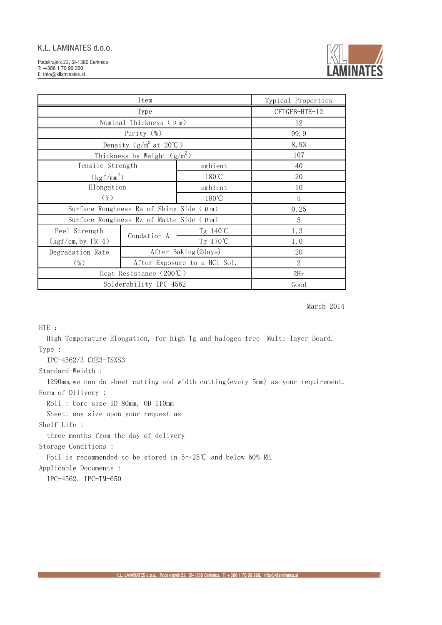

| Item                                         |             |                              | Typical Properties |
|----------------------------------------------|-------------|------------------------------|--------------------|
| Type                                         |             | CFTGFB-HTE-12                |                    |
| Nominal Thickness $(\mu \text{m})$           |             |                              | 12                 |
| Purity $(\%)$                                |             |                              | 99, 9              |
| Density $(g/m^3$ at 20°C)                    |             | 8,93                         |                    |
| Thickness by Weight $(g/m^2)$                |             |                              | 107                |
| Tensile Strength                             |             | ambient                      | 40                 |
| $(kgf/mm^2)$                                 |             | 180°C                        | 20                 |
| Elongation                                   |             | ambient                      | 10                 |
| $(\% )$                                      |             | 180°C                        | 5                  |
| Surface Roughness Ra of Shiny Side $(\mu m)$ |             | 0, 25                        |                    |
| Surface Roughness Rz of Matte Side $(\mu m)$ |             | 5                            |                    |
| Peel Strength                                | Condation A | Tg 140℃                      | 1, 3               |
| $(kgf/cm, by FR-4)$                          |             | Tg 170℃                      | 1,0                |
| Degradation Rate                             |             | After Baking (2days)         | 20                 |
| $(\%)$                                       |             | After Exposure to a HCl Sol. | $\overline{2}$     |
| Heat Resistance (200°C)                      |             |                              | 2Hr                |
| Solderability IPC-4562                       |             | Good                         |                    |

March 2014

HTE :

 High Temperature Elongation, for high Tg and halogen-free Multi-layer Board. Type :

IPC-4562/3 CUE3-TSXS3

Standard Weidth :

 1290mm,we can do sheet cutting and width cutting(every 5mm) as your requirement. Form of Dilivery :

Roll : Core size ID 80mm, OD 110mm

Sheet: any size upon your request as

Shelf Life :

three months from the day of delivery

Storage Conditions :

Foil is recommended to be stored in 5~25℃ and below 60% RH.

Applicable Documents :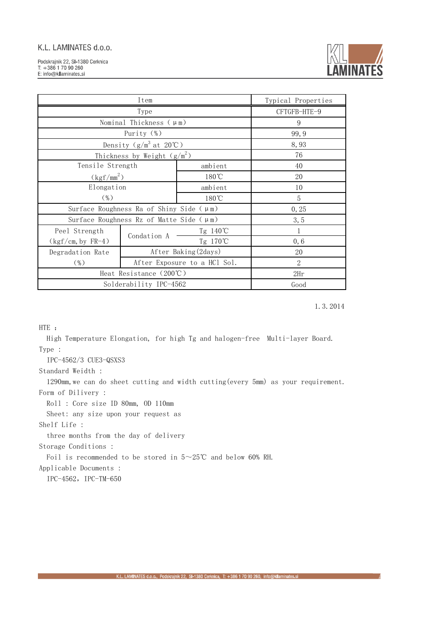

| Item                                                |             |                              | Typical Properties |
|-----------------------------------------------------|-------------|------------------------------|--------------------|
| Type                                                |             | CFTGFB-HTE-9                 |                    |
| Nominal Thickness $(\mu \text{m})$                  |             |                              | 9                  |
| Purity (%)                                          |             |                              | 99, 9              |
| Density $(g/m^3$ at $20^{\circ}\text{C}$ )          |             |                              | 8,93               |
| Thickness by Weight $(g/m^2)$                       |             |                              | 76                 |
| Tensile Strength                                    |             | ambient                      | 40                 |
| $(kgf/mm^2)$                                        |             | $180^{\circ}$ C              | 20                 |
| Elongation                                          |             | ambient                      | 10                 |
| $(\% )$                                             |             | $180^{\circ}$ C              | 5                  |
| Surface Roughness Ra of Shiny Side $(\mu \text{m})$ |             |                              | 0, 25              |
| Surface Roughness Rz of Matte Side $(\mu m)$        |             | 3, 5                         |                    |
| Peel Strength                                       | Condation A | Tg 140℃                      | $\mathbf{1}$       |
| $(kgf/cm, by FR-4)$                                 |             | Tg 170℃                      | 0, 6               |
| Degradation Rate                                    |             | After Baking (2days)         | 20                 |
| $(\%)$                                              |             | After Exposure to a HCl Sol. | $\overline{2}$     |
| Heat Resistance (200°C)                             |             |                              | 2Hr                |
| Solderability IPC-4562                              |             | Good                         |                    |

1.3.2014

HTE :

 High Temperature Elongation, for high Tg and halogen-free Multi-layer Board. Type :

IPC-4562/3 CUE3-QSXS3

Standard Weidth :

 1290mm,we can do sheet cutting and width cutting(every 5mm) as your requirement. Form of Dilivery :

Roll : Core size ID 80mm, OD 110mm

Sheet: any size upon your request as

Shelf Life :

three months from the day of delivery

Storage Conditions :

Foil is recommended to be stored in 5~25℃ and below 60% RH.

Applicable Documents :